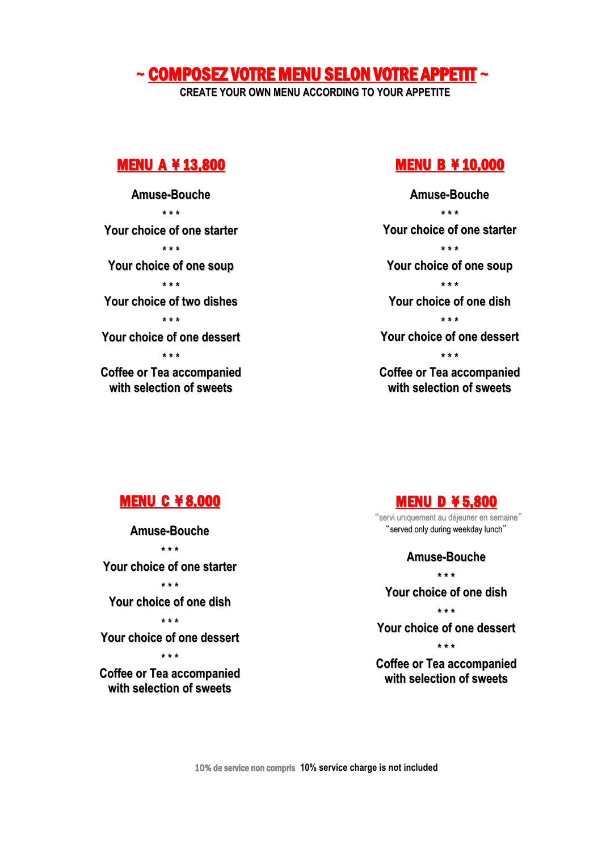# **~** COMPOSEZ VOTRE MENU SELON VOTRE APPETIT **~**

**CREATE YOUR OWN MENU ACCORDING TO YOUR APPETITE**

### MENU A ¥ 13,800

**Amuse-Bouche \* \* \* Your choice of one starter \* \* \* Your choice of one soup \* \* \* Your choice of two dishes \* \* \* Your choice of one dessert \* \* \* Coffee or Tea accompanied with selection of sweets**

#### MENU B ¥ 10,000

**Amuse-Bouche \* \* \* Your choice of one starter \* \* \* Your choice of one soup \* \* \* Your choice of one dish \* \* \* Your choice of one dessert \* \* \* Coffee or Tea accompanied with selection of sweets**

## MENU C ¥ 8,000

**Amuse-Bouche \* \* \* Your choice of one starter \* \* \* Your choice of one dish \* \* \* Your choice of one dessert \* \* \* Coffee or Tea accompanied with selection of sweets**

### MENU D ¥ 5,800

"servi uniquement au déjeuner en semaine" "served only during weekday lunch"

> **Amuse-Bouche \* \* \***

**Your choice of one dish**

**\* \* \***

**Your choice of one dessert**

**\* \* \* Coffee or Tea accompanied with selection of sweets**

10% de service non compris **10% service charge is not included**